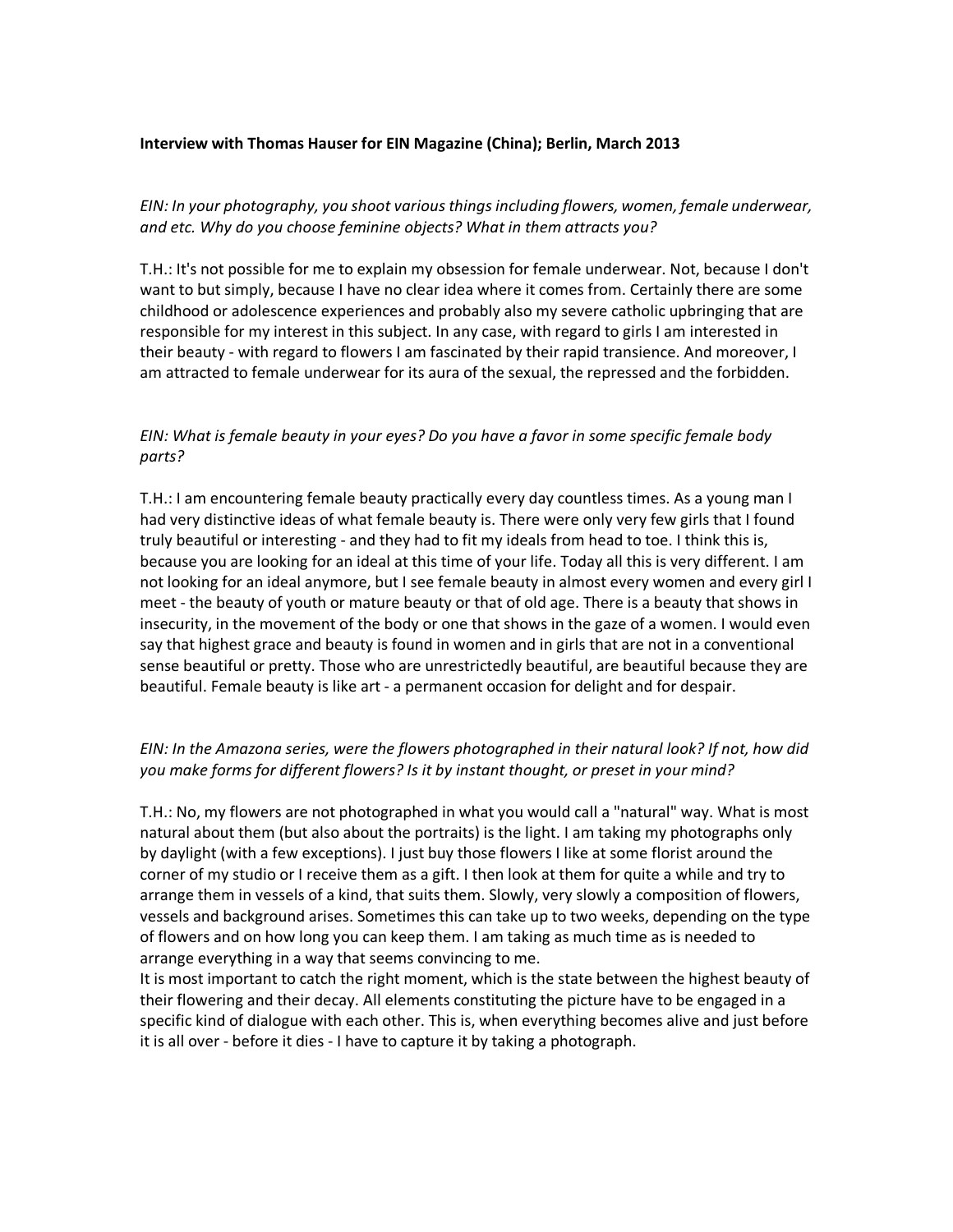#### **Interview with Thomas Hauser for EIN Magazine (China); Berlin, March 2013**

*EIN: In your photography, you shoot various things including flowers, women, female underwear, and etc. Why do you choose feminine objects? What in them attracts you?*

T.H.: It's not possible for me to explain my obsession for female underwear. Not, because I don't want to but simply, because I have no clear idea where it comes from. Certainly there are some childhood or adolescence experiences and probably also my severe catholic upbringing that are responsible for my interest in this subject. In any case, with regard to girls I am interested in their beauty ‐ with regard to flowers I am fascinated by their rapid transience. And moreover, I am attracted to female underwear for its aura of the sexual, the repressed and the forbidden.

### *EIN: What is female beauty in your eyes? Do you have a favor in some specific female body parts?*

T.H.: I am encountering female beauty practically every day countless times. As a young man I had very distinctive ideas of what female beauty is. There were only very few girls that I found truly beautiful or interesting ‐ and they had to fit my ideals from head to toe. I think this is, because you are looking for an ideal at this time of your life. Today all this is very different. I am not looking for an ideal anymore, but I see female beauty in almost every women and every girl I meet ‐ the beauty of youth or mature beauty or that of old age. There is a beauty that shows in insecurity, in the movement of the body or one that shows in the gaze of a women. I would even say that highest grace and beauty is found in women and in girls that are not in a conventional sense beautiful or pretty. Those who are unrestrictedly beautiful, are beautiful because they are beautiful. Female beauty is like art ‐ a permanent occasion for delight and for despair.

## *EIN: In the Amazona series, were the flowers photographed in their natural look? If not, how did you make forms for different flowers? Is it by instant thought, or preset in your mind?*

T.H.: No, my flowers are not photographed in what you would call a "natural" way. What is most natural about them (but also about the portraits) is the light. I am taking my photographs only by daylight (with a few exceptions). I just buy those flowers I like at some florist around the corner of my studio or I receive them as a gift. I then look at them for quite a while and try to arrange them in vessels of a kind, that suits them. Slowly, very slowly a composition of flowers, vessels and background arises. Sometimes this can take up to two weeks, depending on the type of flowers and on how long you can keep them. I am taking as much time as is needed to arrange everything in a way that seems convincing to me.

It is most important to catch the right moment, which is the state between the highest beauty of their flowering and their decay. All elements constituting the picture have to be engaged in a specific kind of dialogue with each other. This is, when everything becomes alive and just before it is all over ‐ before it dies ‐ I have to capture it by taking a photograph.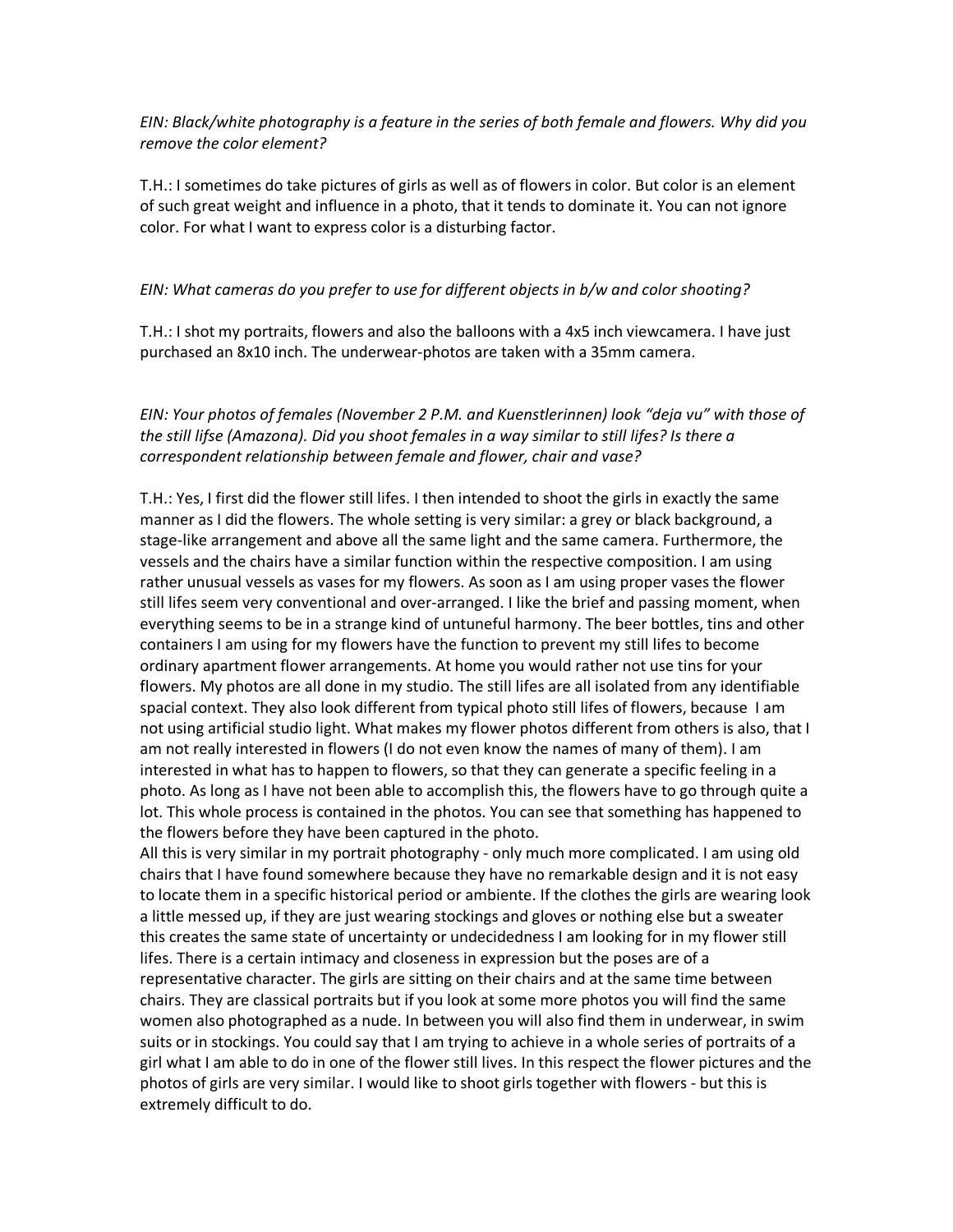*EIN: Black/white photography is a feature in the series of both female and flowers. Why did you remove the color element?*

T.H.: I sometimes do take pictures of girls as well as of flowers in color. But color is an element of such great weight and influence in a photo, that it tends to dominate it. You can not ignore color. For what I want to express color is a disturbing factor.

#### *EIN: What cameras do you prefer to use for different objects in b/w and color shooting?*

T.H.: I shot my portraits, flowers and also the balloons with a 4x5 inch viewcamera. I have just purchased an 8x10 inch. The underwear‐photos are taken with a 35mm camera.

*EIN: Your photos of females (November 2 P.M. and Kuenstlerinnen) look "deja vu" with those of the still lifse (Amazona). Did you shoot females in a way similar to still lifes? Is there a correspondent relationship between female and flower, chair and vase?*

T.H.: Yes, I first did the flower still lifes. I then intended to shoot the girls in exactly the same manner as I did the flowers. The whole setting is very similar: a grey or black background, a stage‐like arrangement and above all the same light and the same camera. Furthermore, the vessels and the chairs have a similar function within the respective composition. I am using rather unusual vessels as vases for my flowers. As soon as I am using proper vases the flower still lifes seem very conventional and over‐arranged. I like the brief and passing moment, when everything seems to be in a strange kind of untuneful harmony. The beer bottles, tins and other containers I am using for my flowers have the function to prevent my still lifes to become ordinary apartment flower arrangements. At home you would rather not use tins for your flowers. My photos are all done in my studio. The still lifes are all isolated from any identifiable spacial context. They also look different from typical photo still lifes of flowers, because I am not using artificial studio light. What makes my flower photos different from others is also, that I am not really interested in flowers (I do not even know the names of many of them). I am interested in what has to happen to flowers, so that they can generate a specific feeling in a photo. As long as I have not been able to accomplish this, the flowers have to go through quite a lot. This whole process is contained in the photos. You can see that something has happened to the flowers before they have been captured in the photo.

All this is very similar in my portrait photography ‐ only much more complicated. I am using old chairs that I have found somewhere because they have no remarkable design and it is not easy to locate them in a specific historical period or ambiente. If the clothes the girls are wearing look a little messed up, if they are just wearing stockings and gloves or nothing else but a sweater this creates the same state of uncertainty or undecidedness I am looking for in my flower still lifes. There is a certain intimacy and closeness in expression but the poses are of a representative character. The girls are sitting on their chairs and at the same time between chairs. They are classical portraits but if you look at some more photos you will find the same women also photographed as a nude. In between you will also find them in underwear, in swim suits or in stockings. You could say that I am trying to achieve in a whole series of portraits of a girl what I am able to do in one of the flower still lives. In this respect the flower pictures and the photos of girls are very similar. I would like to shoot girls together with flowers ‐ but this is extremely difficult to do.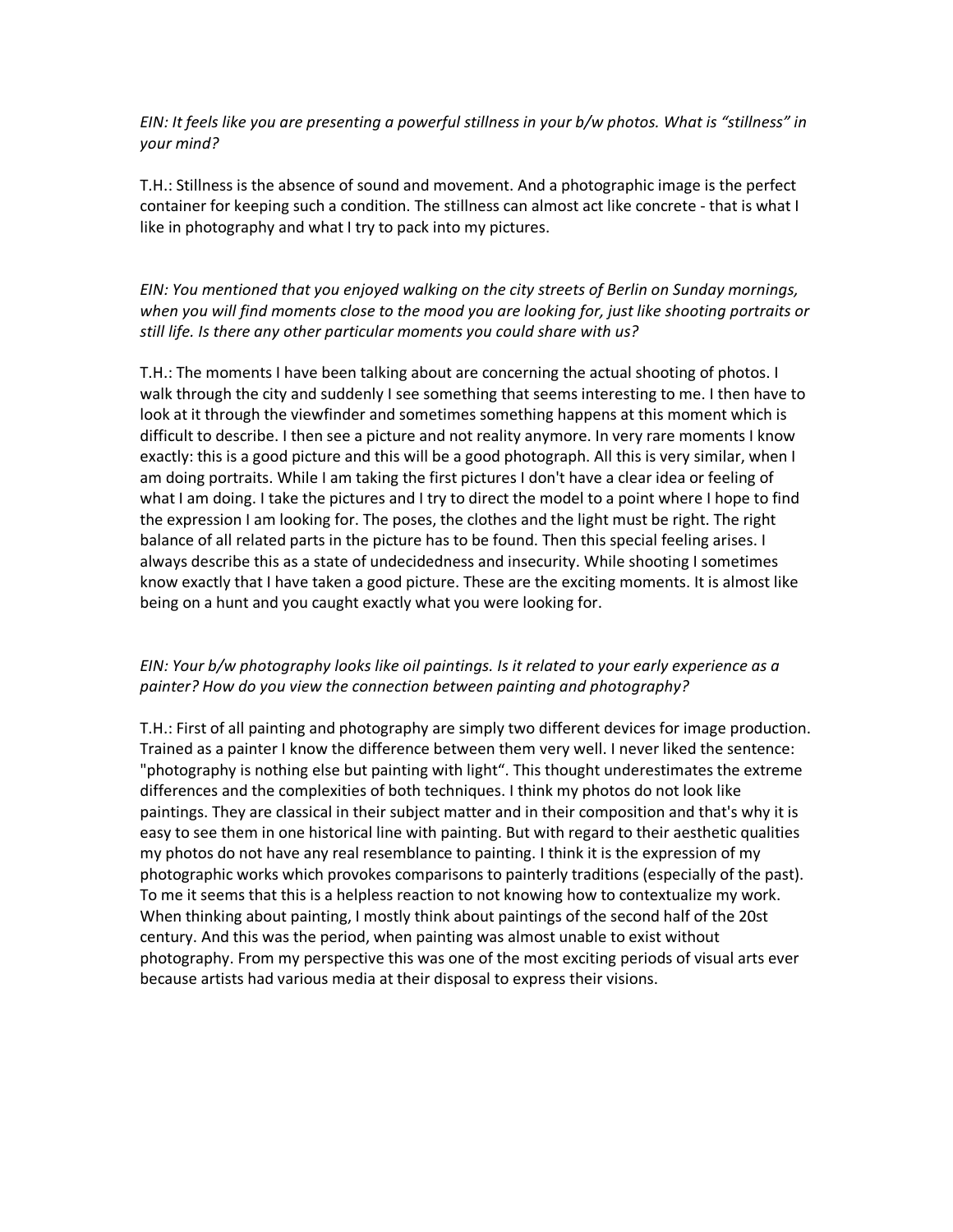EIN: It feels like you are presenting a powerful stillness in your b/w photos. What is "stillness" in *your mind?*

T.H.: Stillness is the absence of sound and movement. And a photographic image is the perfect container for keeping such a condition. The stillness can almost act like concrete ‐ that is what I like in photography and what I try to pack into my pictures.

## *EIN: You mentioned that you enjoyed walking on the city streets of Berlin on Sunday mornings, when you will find moments close to the mood you are looking for, just like shooting portraits or still life. Is there any other particular moments you could share with us?*

T.H.: The moments I have been talking about are concerning the actual shooting of photos. I walk through the city and suddenly I see something that seems interesting to me. I then have to look at it through the viewfinder and sometimes something happens at this moment which is difficult to describe. I then see a picture and not reality anymore. In very rare moments I know exactly: this is a good picture and this will be a good photograph. All this is very similar, when I am doing portraits. While I am taking the first pictures I don't have a clear idea or feeling of what I am doing. I take the pictures and I try to direct the model to a point where I hope to find the expression I am looking for. The poses, the clothes and the light must be right. The right balance of all related parts in the picture has to be found. Then this special feeling arises. I always describe this as a state of undecidedness and insecurity. While shooting I sometimes know exactly that I have taken a good picture. These are the exciting moments. It is almost like being on a hunt and you caught exactly what you were looking for.

### *EIN: Your b/w photography looks like oil paintings. Is it related to your early experience as a painter? How do you view the connection between painting and photography?*

T.H.: First of all painting and photography are simply two different devices for image production. Trained as a painter I know the difference between them very well. I never liked the sentence: "photography is nothing else but painting with light". This thought underestimates the extreme differences and the complexities of both techniques. I think my photos do not look like paintings. They are classical in their subject matter and in their composition and that's why it is easy to see them in one historical line with painting. But with regard to their aesthetic qualities my photos do not have any real resemblance to painting. I think it is the expression of my photographic works which provokes comparisons to painterly traditions (especially of the past). To me it seems that this is a helpless reaction to not knowing how to contextualize my work. When thinking about painting, I mostly think about paintings of the second half of the 20st century. And this was the period, when painting was almost unable to exist without photography. From my perspective this was one of the most exciting periods of visual arts ever because artists had various media at their disposal to express their visions.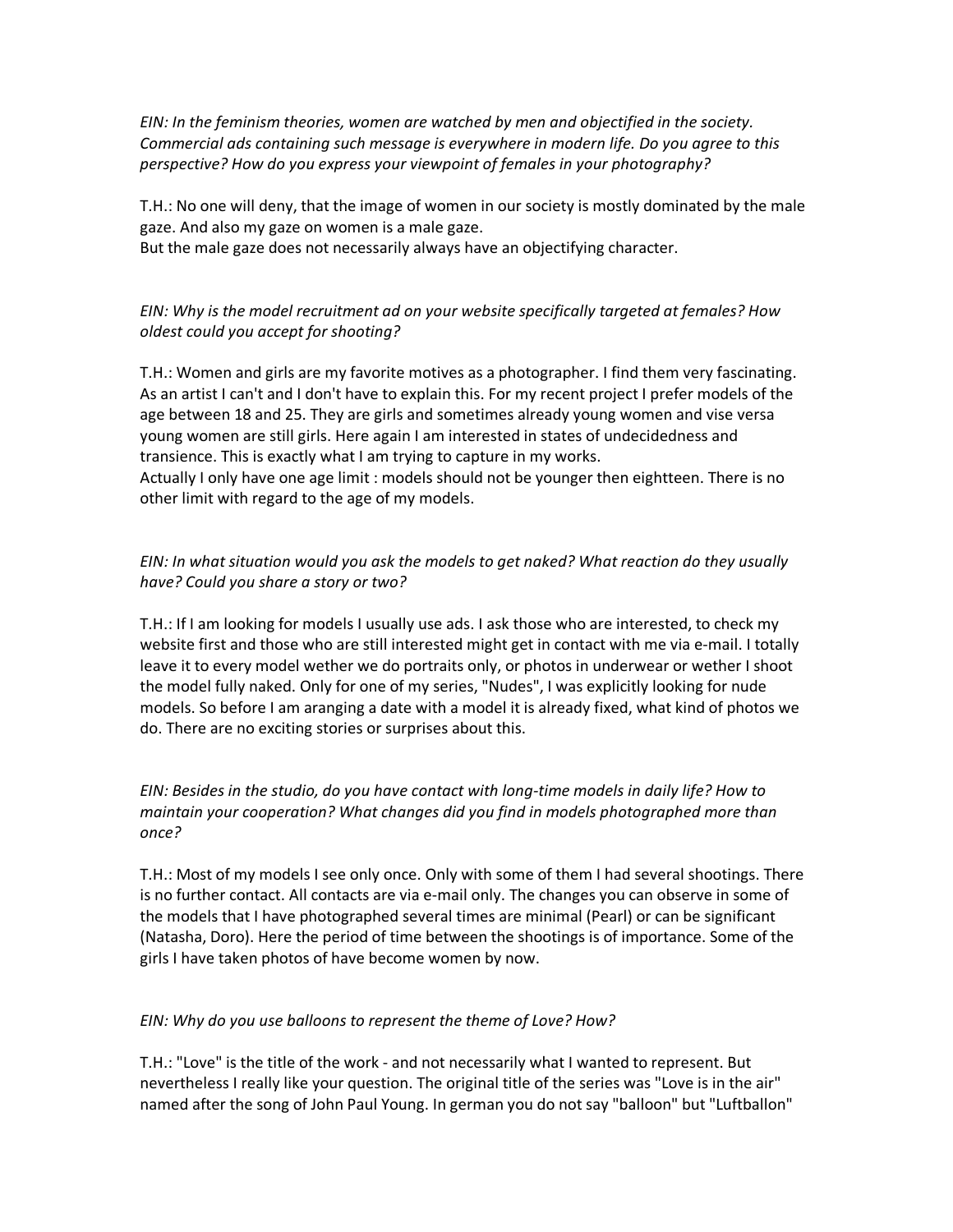*EIN: In the feminism theories, women are watched by men and objectified in the society. Commercial ads containing such message is everywhere in modern life. Do you agree to this perspective? How do you express your viewpoint of females in your photography?*

T.H.: No one will deny, that the image of women in our society is mostly dominated by the male gaze. And also my gaze on women is a male gaze.

But the male gaze does not necessarily always have an objectifying character.

# *EIN: Why is the model recruitment ad on your website specifically targeted at females? How oldest could you accept for shooting?*

T.H.: Women and girls are my favorite motives as a photographer. I find them very fascinating. As an artist I can't and I don't have to explain this. For my recent project I prefer models of the age between 18 and 25. They are girls and sometimes already young women and vise versa young women are still girls. Here again I am interested in states of undecidedness and transience. This is exactly what I am trying to capture in my works. Actually I only have one age limit : models should not be younger then eightteen. There is no other limit with regard to the age of my models.

## *EIN: In what situation would you ask the models to get naked? What reaction do they usually have? Could you share a story or two?*

T.H.: If I am looking for models I usually use ads. I ask those who are interested, to check my website first and those who are still interested might get in contact with me via e-mail. I totally leave it to every model wether we do portraits only, or photos in underwear or wether I shoot the model fully naked. Only for one of my series, "Nudes", I was explicitly looking for nude models. So before I am aranging a date with a model it is already fixed, what kind of photos we do. There are no exciting stories or surprises about this.

### *EIN: Besides in the studio, do you have contact with long‐time models in daily life? How to maintain your cooperation? What changes did you find in models photographed more than once?*

T.H.: Most of my models I see only once. Only with some of them I had several shootings. There is no further contact. All contacts are via e‐mail only. The changes you can observe in some of the models that I have photographed several times are minimal (Pearl) or can be significant (Natasha, Doro). Here the period of time between the shootings is of importance. Some of the girls I have taken photos of have become women by now.

## *EIN: Why do you use balloons to represent the theme of Love? How?*

T.H.: "Love" is the title of the work ‐ and not necessarily what I wanted to represent. But nevertheless I really like your question. The original title of the series was "Love is in the air" named after the song of John Paul Young. In german you do not say "balloon" but "Luftballon"